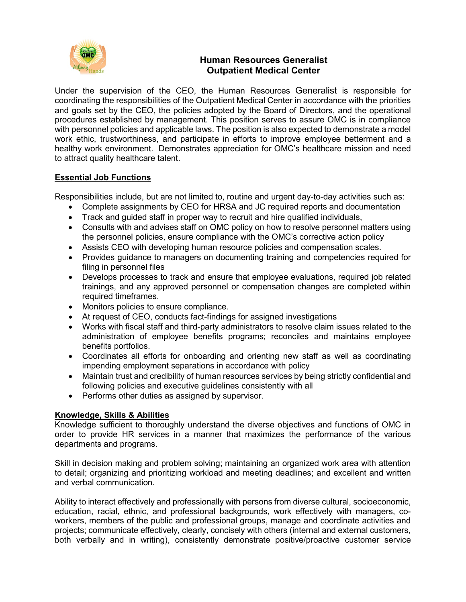

# **Human Resources Generalist Outpatient Medical Center**

Under the supervision of the CEO, the Human Resources Generalist is responsible for coordinating the responsibilities of the Outpatient Medical Center in accordance with the priorities and goals set by the CEO, the policies adopted by the Board of Directors, and the operational procedures established by management. This position serves to assure OMC is in compliance with personnel policies and applicable laws. The position is also expected to demonstrate a model work ethic, trustworthiness, and participate in efforts to improve employee betterment and a healthy work environment. Demonstrates appreciation for OMC's healthcare mission and need to attract quality healthcare talent.

# **Essential Job Functions**

Responsibilities include, but are not limited to, routine and urgent day-to-day activities such as:

- Complete assignments by CEO for HRSA and JC required reports and documentation
- Track and guided staff in proper way to recruit and hire qualified individuals,
- Consults with and advises staff on OMC policy on how to resolve personnel matters using the personnel policies, ensure compliance with the OMC's corrective action policy
- Assists CEO with developing human resource policies and compensation scales.
- Provides guidance to managers on documenting training and competencies required for filing in personnel files
- Develops processes to track and ensure that employee evaluations, required job related trainings, and any approved personnel or compensation changes are completed within required timeframes.
- Monitors policies to ensure compliance.
- At request of CEO, conducts fact-findings for assigned investigations
- Works with fiscal staff and third-party administrators to resolve claim issues related to the administration of employee benefits programs; reconciles and maintains employee benefits portfolios.
- Coordinates all efforts for onboarding and orienting new staff as well as coordinating impending employment separations in accordance with policy
- Maintain trust and credibility of human resources services by being strictly confidential and following policies and executive guidelines consistently with all
- Performs other duties as assigned by supervisor.

### **Knowledge, Skills & Abilities**

Knowledge sufficient to thoroughly understand the diverse objectives and functions of OMC in order to provide HR services in a manner that maximizes the performance of the various departments and programs.

Skill in decision making and problem solving; maintaining an organized work area with attention to detail; organizing and prioritizing workload and meeting deadlines; and excellent and written and verbal communication.

Ability to interact effectively and professionally with persons from diverse cultural, socioeconomic, education, racial, ethnic, and professional backgrounds, work effectively with managers, coworkers, members of the public and professional groups, manage and coordinate activities and projects; communicate effectively, clearly, concisely with others (internal and external customers, both verbally and in writing), consistently demonstrate positive/proactive customer service